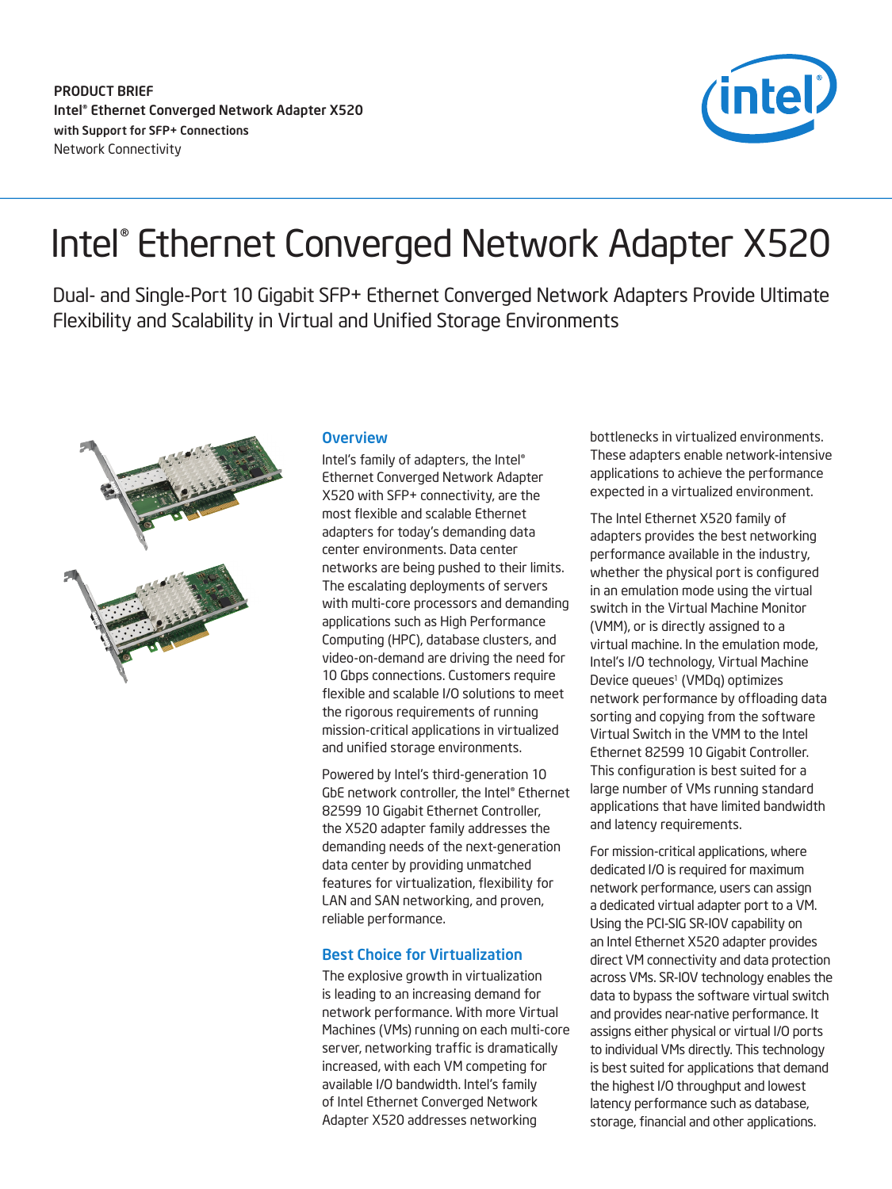

# Intel® Ethernet Converged Network Adapter X520

Dual- and Single-Port 10 Gigabit SFP+ Ethernet Converged Network Adapters Provide Ultimate Flexibility and Scalability in Virtual and Unified Storage Environments



## **Overview**

Intel's family of adapters, the Intel® Ethernet Converged Network Adapter X520 with SFP+ connectivity, are the most flexible and scalable Ethernet adapters for today's demanding data center environments. Data center networks are being pushed to their limits. The escalating deployments of servers with multi-core processors and demanding applications such as High Performance Computing (HPC), database clusters, and video-on-demand are driving the need for 10 Gbps connections. Customers require flexible and scalable I/O solutions to meet the rigorous requirements of running mission-critical applications in virtualized and unified storage environments.

Powered by Intel's third-generation 10 GbE network controller, the Intel® Ethernet 82599 10 Gigabit Ethernet Controller, the X520 adapter family addresses the demanding needs of the next-generation data center by providing unmatched features for virtualization, flexibility for LAN and SAN networking, and proven, reliable performance.

## Best Choice for Virtualization

The explosive growth in virtualization is leading to an increasing demand for network performance. With more Virtual Machines (VMs) running on each multi-core server, networking traffic is dramatically increased, with each VM competing for available I/O bandwidth. Intel's family of Intel Ethernet Converged Network Adapter X520 addresses networking

bottlenecks in virtualized environments. These adapters enable network-intensive applications to achieve the performance expected in a virtualized environment.

The Intel Ethernet X520 family of adapters provides the best networking performance available in the industry, whether the physical port is configured in an emulation mode using the virtual switch in the Virtual Machine Monitor (VMM), or is directly assigned to a virtual machine. In the emulation mode, Intel's I/O technology, Virtual Machine Device queues<sup>1</sup> (VMDq) optimizes network performance by offloading data sorting and copying from the software Virtual Switch in the VMM to the Intel Ethernet 82599 10 Gigabit Controller. This configuration is best suited for a large number of VMs running standard applications that have limited bandwidth and latency requirements.

For mission-critical applications, where dedicated I/O is required for maximum network performance, users can assign a dedicated virtual adapter port to a VM. Using the PCI-SIG SR-IOV capability on an Intel Ethernet X520 adapter provides direct VM connectivity and data protection across VMs. SR-IOV technology enables the data to bypass the software virtual switch and provides near-native performance. It assigns either physical or virtual I/O ports to individual VMs directly. This technology is best suited for applications that demand the highest I/O throughput and lowest latency performance such as database, storage, financial and other applications.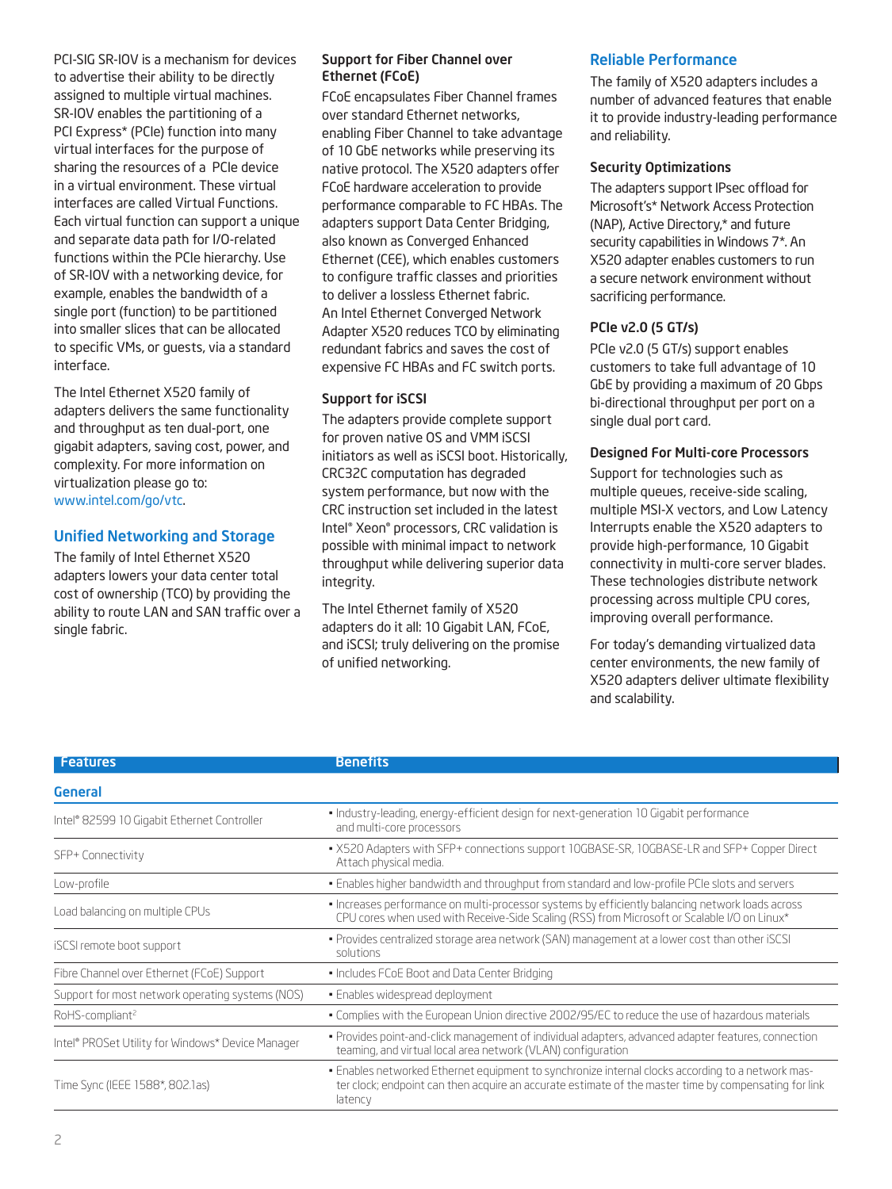PCI-SIG SR-IOV is a mechanism for devices to advertise their ability to be directly assigned to multiple virtual machines. SR-IOV enables the partitioning of a PCI Express\* (PCIe) function into many virtual interfaces for the purpose of sharing the resources of a PCIe device in a virtual environment. These virtual interfaces are called Virtual Functions. Each virtual function can support a unique and separate data path for I/O-related functions within the PCIe hierarchy. Use of SR-IOV with a networking device, for example, enables the bandwidth of a single port (function) to be partitioned into smaller slices that can be allocated to specific VMs, or guests, via a standard interface.

The Intel Ethernet X520 family of adapters delivers the same functionality and throughput as ten dual-port, one gigabit adapters, saving cost, power, and complexity. For more information on virtualization please go to: www.intel.com/go/vtc.

## Unified Networking and Storage

The family of Intel Ethernet X520 adapters lowers your data center total cost of ownership (TCO) by providing the ability to route LAN and SAN traffic over a single fabric.

### Support for Fiber Channel over Ethernet (FCoE)

FCoE encapsulates Fiber Channel frames over standard Ethernet networks, enabling Fiber Channel to take advantage of 10 GbE networks while preserving its native protocol. The X520 adapters offer FCoE hardware acceleration to provide performance comparable to FC HBAs. The adapters support Data Center Bridging, also known as Converged Enhanced Ethernet (CEE), which enables customers to configure traffic classes and priorities to deliver a lossless Ethernet fabric. An Intel Ethernet Converged Network Adapter X520 reduces TCO by eliminating redundant fabrics and saves the cost of expensive FC HBAs and FC switch ports.

## Support for iSCSI

The adapters provide complete support for proven native OS and VMM iSCSI initiators as well as iSCSI boot. Historically, CRC32C computation has degraded system performance, but now with the CRC instruction set included in the latest Intel® Xeon® processors, CRC validation is possible with minimal impact to network throughput while delivering superior data integrity.

The Intel Ethernet family of X520 adapters do it all: 10 Gigabit LAN, FCoE, and iSCSI; truly delivering on the promise of unified networking.

## Reliable Performance

The family of X520 adapters includes a number of advanced features that enable it to provide industry-leading performance and reliability.

## Security Optimizations

The adapters support IPsec offload for Microsoft's\* Network Access Protection (NAP), Active Directory,\* and future security capabilities in Windows 7\*. An X520 adapter enables customers to run a secure network environment without sacrificing performance.

## PCIe v2.0 (5 GT/s)

PCIe v2.0 (5 GT/s) support enables customers to take full advantage of 10 GbE by providing a maximum of 20 Gbps bi-directional throughput per port on a single dual port card.

## Designed For Multi-core Processors

Support for technologies such as multiple queues, receive-side scaling, multiple MSI-X vectors, and Low Latency Interrupts enable the X520 adapters to provide high-performance, 10 Gigabit connectivity in multi-core server blades. These technologies distribute network processing across multiple CPU cores, improving overall performance.

For today's demanding virtualized data center environments, the new family of X520 adapters deliver ultimate flexibility and scalability.

| <b>Features</b>                                   | <b>Benefits</b>                                                                                                                                                                                                       |  |
|---------------------------------------------------|-----------------------------------------------------------------------------------------------------------------------------------------------------------------------------------------------------------------------|--|
| General                                           |                                                                                                                                                                                                                       |  |
| Intel® 82599 10 Gigabit Ethernet Controller       | · Industry-leading, energy-efficient design for next-generation 10 Gigabit performance<br>and multi-core processors                                                                                                   |  |
| SFP+ Connectivity                                 | • X520 Adapters with SFP+ connections support 10GBASE-SR, 10GBASE-LR and SFP+ Copper Direct<br>Attach physical media.                                                                                                 |  |
| Low-profile                                       | . Enables higher bandwidth and throughput from standard and low-profile PCIe slots and servers                                                                                                                        |  |
| Load balancing on multiple CPUs                   | . Increases performance on multi-processor systems by efficiently balancing network loads across<br>CPU cores when used with Receive-Side Scaling (RSS) from Microsoft or Scalable I/O on Linux*                      |  |
| iSCSI remote boot support                         | • Provides centralized storage area network (SAN) management at a lower cost than other iSCSI<br>solutions                                                                                                            |  |
| Fibre Channel over Ethernet (FCoE) Support        | • Includes FCoE Boot and Data Center Bridging                                                                                                                                                                         |  |
| Support for most network operating systems (NOS)  | • Enables widespread deployment                                                                                                                                                                                       |  |
| RoHS-compliant <sup>2</sup>                       | . Complies with the European Union directive 2002/95/EC to reduce the use of hazardous materials                                                                                                                      |  |
| Intel® PROSet Utility for Windows* Device Manager | • Provides point-and-click management of individual adapters, advanced adapter features, connection<br>teaming, and virtual local area network (VLAN) configuration                                                   |  |
| Time Sync (IEEE 1588*, 802.1as)                   | . Enables networked Ethernet equipment to synchronize internal clocks according to a network mas-<br>ter clock; endpoint can then acquire an accurate estimate of the master time by compensating for link<br>latency |  |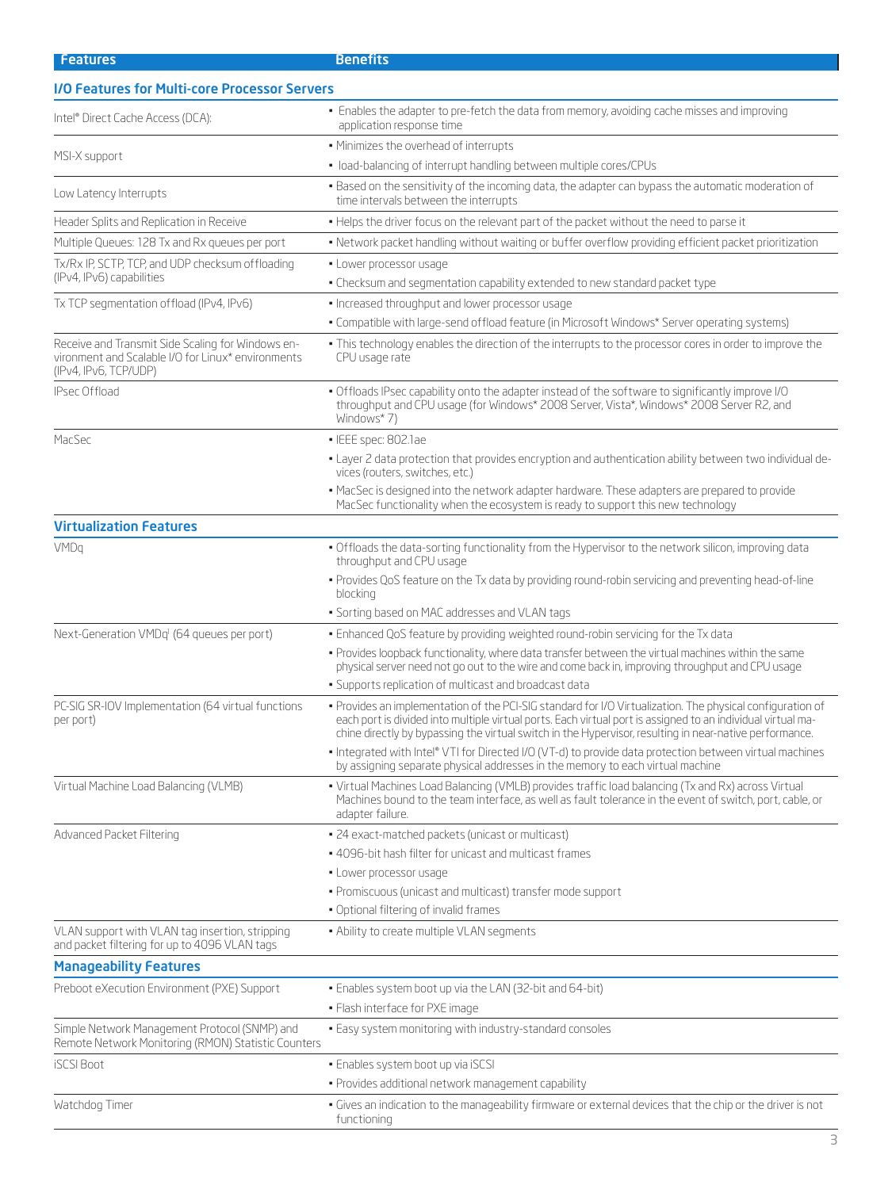**Features** Benefits

| <b>I/O Features for Multi-core Processor Servers</b>                                                                             |                                                                                                                                                                                                                                                                                                                                       |  |  |
|----------------------------------------------------------------------------------------------------------------------------------|---------------------------------------------------------------------------------------------------------------------------------------------------------------------------------------------------------------------------------------------------------------------------------------------------------------------------------------|--|--|
| Intel® Direct Cache Access (DCA):                                                                                                | • Enables the adapter to pre-fetch the data from memory, avoiding cache misses and improving<br>application response time                                                                                                                                                                                                             |  |  |
| MSI-X support                                                                                                                    | . Minimizes the overhead of interrupts                                                                                                                                                                                                                                                                                                |  |  |
|                                                                                                                                  | · load-balancing of interrupt handling between multiple cores/CPUs                                                                                                                                                                                                                                                                    |  |  |
| Low Latency Interrupts                                                                                                           | . Based on the sensitivity of the incoming data, the adapter can bypass the automatic moderation of<br>time intervals between the interrupts                                                                                                                                                                                          |  |  |
| Header Splits and Replication in Receive                                                                                         | . Helps the driver focus on the relevant part of the packet without the need to parse it                                                                                                                                                                                                                                              |  |  |
| Multiple Queues: 128 Tx and Rx queues per port                                                                                   | • Network packet handling without waiting or buffer overflow providing efficient packet prioritization                                                                                                                                                                                                                                |  |  |
| Tx/Rx IP, SCTP, TCP, and UDP checksum offloading                                                                                 | · Lower processor usage                                                                                                                                                                                                                                                                                                               |  |  |
| (IPv4, IPv6) capabilities                                                                                                        | . Checksum and segmentation capability extended to new standard packet type                                                                                                                                                                                                                                                           |  |  |
| Tx TCP segmentation offload (IPv4, IPv6)                                                                                         | · Increased throughput and lower processor usage                                                                                                                                                                                                                                                                                      |  |  |
|                                                                                                                                  | . Compatible with large-send offload feature (in Microsoft Windows* Server operating systems)                                                                                                                                                                                                                                         |  |  |
| Receive and Transmit Side Scaling for Windows en-<br>vironment and Scalable I/O for Linux* environments<br>(IPv4, IPv6, TCP/UDP) | . This technology enables the direction of the interrupts to the processor cores in order to improve the<br>CPU usage rate                                                                                                                                                                                                            |  |  |
| IPsec Offload                                                                                                                    | . Offloads IPsec capability onto the adapter instead of the software to significantly improve I/O<br>throughput and CPU usage (for Windows* 2008 Server, Vista*, Windows* 2008 Server R2, and<br>Windows*7)                                                                                                                           |  |  |
| MacSec                                                                                                                           | · IEEE spec: 802.1ae                                                                                                                                                                                                                                                                                                                  |  |  |
|                                                                                                                                  | - Layer 2 data protection that provides encryption and authentication ability between two individual de-<br>vices (routers, switches, etc.)                                                                                                                                                                                           |  |  |
|                                                                                                                                  | • MacSec is designed into the network adapter hardware. These adapters are prepared to provide<br>MacSec functionality when the ecosystem is ready to support this new technology                                                                                                                                                     |  |  |
| <b>Virtualization Features</b>                                                                                                   |                                                                                                                                                                                                                                                                                                                                       |  |  |
| VMDq                                                                                                                             | . Offloads the data-sorting functionality from the Hypervisor to the network silicon, improving data<br>throughput and CPU usage                                                                                                                                                                                                      |  |  |
|                                                                                                                                  | . Provides QoS feature on the Tx data by providing round-robin servicing and preventing head-of-line<br>blocking                                                                                                                                                                                                                      |  |  |
|                                                                                                                                  | • Sorting based on MAC addresses and VLAN tags                                                                                                                                                                                                                                                                                        |  |  |
| Next-Generation VMDq <sup>1</sup> (64 queues per port)                                                                           | . Enhanced QoS feature by providing weighted round-robin servicing for the Tx data                                                                                                                                                                                                                                                    |  |  |
|                                                                                                                                  | . Provides loopback functionality, where data transfer between the virtual machines within the same<br>physical server need not go out to the wire and come back in, improving throughput and CPU usage                                                                                                                               |  |  |
|                                                                                                                                  | • Supports replication of multicast and broadcast data                                                                                                                                                                                                                                                                                |  |  |
| PC-SIG SR-IOV Implementation (64 virtual functions<br>per port)                                                                  | . Provides an implementation of the PCI-SIG standard for I/O Virtualization. The physical configuration of<br>each port is divided into multiple virtual ports. Each virtual port is assigned to an individual virtual ma-<br>chine directly by bypassing the virtual switch in the Hypervisor, resulting in near-native performance. |  |  |
|                                                                                                                                  | · Integrated with Intel® VTI for Directed I/O (VT-d) to provide data protection between virtual machines<br>by assigning separate physical addresses in the memory to each virtual machine                                                                                                                                            |  |  |
| Virtual Machine Load Balancing (VLMB)                                                                                            | • Virtual Machines Load Balancing (VMLB) provides traffic load balancing (Tx and Rx) across Virtual<br>Machines bound to the team interface, as well as fault tolerance in the event of switch, port, cable, or<br>adapter failure.                                                                                                   |  |  |
| Advanced Packet Filtering                                                                                                        | • 24 exact-matched packets (unicast or multicast)                                                                                                                                                                                                                                                                                     |  |  |
|                                                                                                                                  | . 4096-bit hash filter for unicast and multicast frames                                                                                                                                                                                                                                                                               |  |  |
|                                                                                                                                  | • Lower processor usage                                                                                                                                                                                                                                                                                                               |  |  |
|                                                                                                                                  | · Promiscuous (unicast and multicast) transfer mode support                                                                                                                                                                                                                                                                           |  |  |
|                                                                                                                                  | . Optional filtering of invalid frames                                                                                                                                                                                                                                                                                                |  |  |
| VLAN support with VLAN tag insertion, stripping<br>and packet filtering for up to 4096 VLAN tags                                 | . Ability to create multiple VLAN segments                                                                                                                                                                                                                                                                                            |  |  |
| <b>Manageability Features</b>                                                                                                    |                                                                                                                                                                                                                                                                                                                                       |  |  |
| Preboot eXecution Environment (PXE) Support                                                                                      | . Enables system boot up via the LAN (32-bit and 64-bit)                                                                                                                                                                                                                                                                              |  |  |
|                                                                                                                                  | · Flash interface for PXE image                                                                                                                                                                                                                                                                                                       |  |  |
| Simple Network Management Protocol (SNMP) and<br>Remote Network Monitoring (RMON) Statistic Counters                             | . Easy system monitoring with industry-standard consoles                                                                                                                                                                                                                                                                              |  |  |
| <b>ISCSI Boot</b>                                                                                                                | · Enables system boot up via iSCSI                                                                                                                                                                                                                                                                                                    |  |  |
|                                                                                                                                  | · Provides additional network management capability                                                                                                                                                                                                                                                                                   |  |  |
| Watchdog Timer                                                                                                                   | . Gives an indication to the manageability firmware or external devices that the chip or the driver is not                                                                                                                                                                                                                            |  |  |

functioning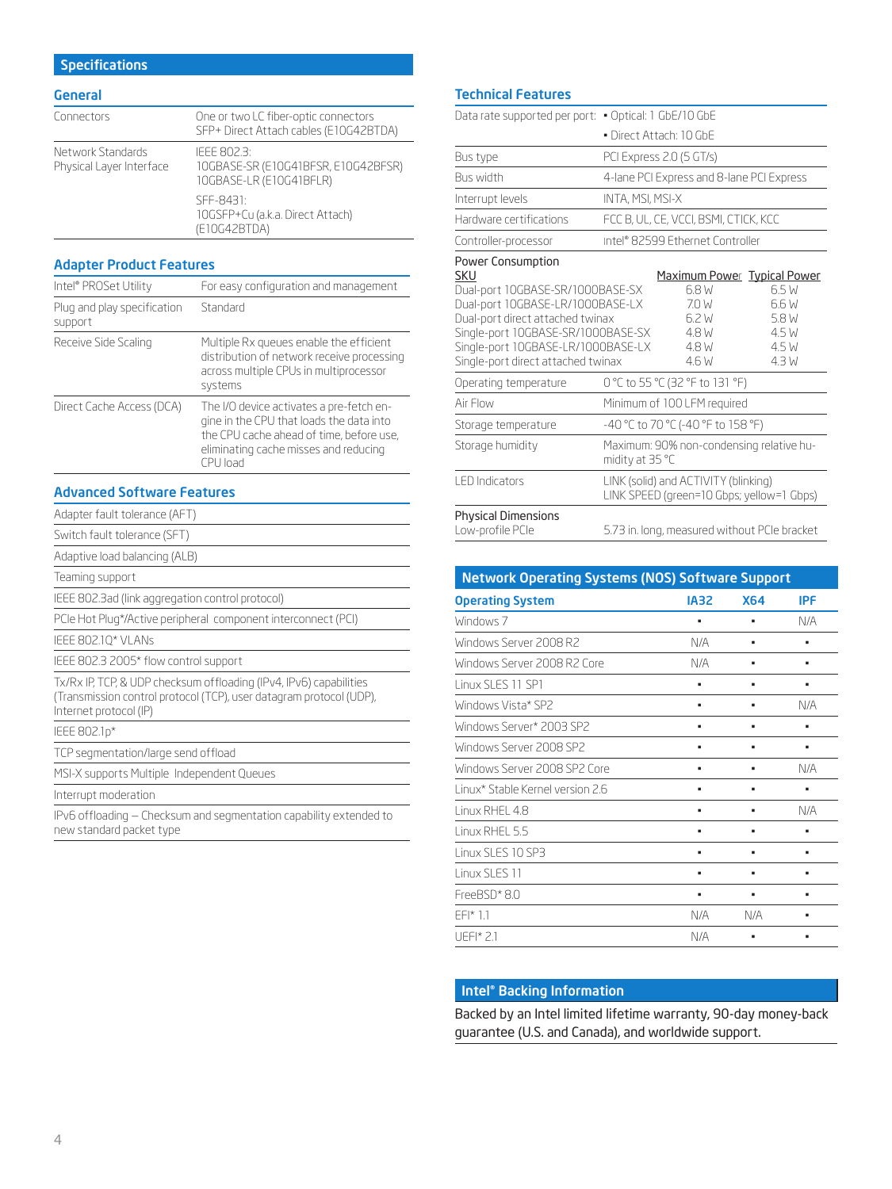# **Specifications**

#### General

| Connectors                                    | One or two LC fiber-optic connectors<br>SFP+ Direct Attach cables (E10G42BTDA) |
|-----------------------------------------------|--------------------------------------------------------------------------------|
| Network Standards<br>Physical Layer Interface | IFFF 802.3:<br>10GBASE-SR (E10G41BFSR, E10G42BFSR)<br>10GBASE-LR (E10G41BFLR)  |
|                                               | SEE-8431:<br>10GSFP+Cu (a.k.a. Direct Attach)<br>(E10G42BTDA)                  |

## Adapter Product Features

| Intel® PROSet Utility                  | For easy configuration and management                                                                                                                                                 |
|----------------------------------------|---------------------------------------------------------------------------------------------------------------------------------------------------------------------------------------|
| Plug and play specification<br>support | Standard                                                                                                                                                                              |
| Receive Side Scaling                   | Multiple Rx queues enable the efficient<br>distribution of network receive processing<br>across multiple CPUs in multiprocessor<br>systems                                            |
| Direct Cache Access (DCA)              | The I/O device activates a pre-fetch en-<br>gine in the CPU that loads the data into<br>the CPU cache ahead of time, before use,<br>eliminating cache misses and reducing<br>CPU load |

## Advanced Software Features

| Adapter fault tolerance (AFT)                                                                                                                                       |  |
|---------------------------------------------------------------------------------------------------------------------------------------------------------------------|--|
| Switch fault tolerance (SFT)                                                                                                                                        |  |
| Adaptive load balancing (ALB)                                                                                                                                       |  |
| Teaming support                                                                                                                                                     |  |
| IEEE 802.3ad (link aggregation control protocol)                                                                                                                    |  |
| PCIe Hot Plug*/Active peripheral component interconnect (PCI)                                                                                                       |  |
| IEEE 802.10* VLANs                                                                                                                                                  |  |
| IEEE 802.3 2005* flow control support                                                                                                                               |  |
| Tx/Rx IP, TCP, & UDP checksum offloading (IPv4, IPv6) capabilities<br>(Transmission control protocol (TCP), user datagram protocol (UDP),<br>Internet protocol (IP) |  |
| IEEE 802.1p*                                                                                                                                                        |  |
| TCP segmentation/large send offload                                                                                                                                 |  |
| MSI-X supports Multiple Independent Queues                                                                                                                          |  |
| Interrupt moderation                                                                                                                                                |  |
| IPv6 offloading – Checksum and segmentation capability extended to<br>new standard packet type                                                                      |  |

## Technical Features

| Data rate supported per port: . Optical: 1 GbE/10 GbE                                                                                                                                                                                                                           |                                                             |                                                                                       |                                                                                   |  |
|---------------------------------------------------------------------------------------------------------------------------------------------------------------------------------------------------------------------------------------------------------------------------------|-------------------------------------------------------------|---------------------------------------------------------------------------------------|-----------------------------------------------------------------------------------|--|
|                                                                                                                                                                                                                                                                                 |                                                             | • Direct Attach: 10 GbF                                                               |                                                                                   |  |
| Bus type                                                                                                                                                                                                                                                                        |                                                             | PCI Express 2.0 (5 GT/s)                                                              |                                                                                   |  |
| <b>Bus width</b>                                                                                                                                                                                                                                                                |                                                             | 4-lane PCI Express and 8-lane PCI Express                                             |                                                                                   |  |
| Interrupt levels                                                                                                                                                                                                                                                                |                                                             | <b>INTA, MSI, MSI-X</b>                                                               |                                                                                   |  |
| Hardware certifications                                                                                                                                                                                                                                                         |                                                             | FCC B, UL, CE, VCCI, BSMI, CTICK, KCC                                                 |                                                                                   |  |
| Controller-processor                                                                                                                                                                                                                                                            |                                                             | Intel® 82599 Ethernet Controller                                                      |                                                                                   |  |
| Power Consumption<br>SKU<br>Dual-port 10GBASE-SR/1000BASE-SX<br>Dual-port 10GBASE-LR/1000BASE-LX<br>Dual-port direct attached twinax<br>Single-port 10GBASE-SR/1000BASE-SX<br>Single-port 10GBASE-LR/1000BASE-LX<br>Single-port direct attached twinax<br>Operating temperature |                                                             | 6.8 W<br>7.0 W<br>6.2 W<br>4.8 W<br>4.8 W<br>4.6 W<br>0 °C to 55 °C (32 °F to 131 °F) | Maximum Power Typical Power<br>6.5 W<br>6.6 W<br>5.8 W<br>4.5 W<br>4.5 W<br>4.3 W |  |
| Air Flow                                                                                                                                                                                                                                                                        |                                                             | Minimum of 100 LFM required                                                           |                                                                                   |  |
| Storage temperature                                                                                                                                                                                                                                                             |                                                             | -40 °C to 70 °C (-40 °F to 158 °F)                                                    |                                                                                   |  |
| Storage humidity                                                                                                                                                                                                                                                                | Maximum: 90% non-condensing relative hu-<br>midity at 35 °C |                                                                                       |                                                                                   |  |
| <b>LED</b> Indicators                                                                                                                                                                                                                                                           |                                                             | LINK (solid) and ACTIVITY (blinking)<br>LINK SPEED (green=10 Gbps; yellow=1 Gbps)     |                                                                                   |  |
| <b>Physical Dimensions</b><br>Low-profile PCIe                                                                                                                                                                                                                                  | 5.73 in. long, measured without PCIe bracket                |                                                                                       |                                                                                   |  |

| <b>Network Operating Systems (NOS) Software Support</b> |             |            |     |
|---------------------------------------------------------|-------------|------------|-----|
| <b>Operating System</b>                                 | <b>IA32</b> | <b>X64</b> | IPF |
| Windows 7                                               | ٠           | ٠          | N/A |
| Windows Server 2008 R2                                  | N/A         | ٠          |     |
| Windows Server 2008 R2 Core                             | N/A         | ٠          | ٠   |
| Linux SLES 11 SP1                                       |             | ٠          |     |
| Windows Vista* SP2                                      |             |            | N/A |
| Windows Server* 2003 SP2                                |             |            |     |
| Windows Server 2008 SP2                                 |             |            |     |
| Windows Server 2008 SP2 Core                            |             |            | N/A |
| Linux* Stable Kernel version 2.6                        | ٠           | ٠          |     |
| Linux RHFL 4.8                                          |             |            | N/A |
| Linux RHFL 5.5                                          | ٠           | ٠          |     |
| Linux SLES 10 SP3                                       |             |            |     |
| Linux SLES 11                                           |             | ٠          |     |
| FreeBSD*8.0                                             | ٠           | ٠          |     |
| $F F   * 1.1$                                           | N/A         | N/A        |     |
| UFFI $*$ 2.1                                            | N/A         |            |     |

# Intel® Backing Information

Backed by an Intel limited lifetime warranty, 90-day money-back guarantee (U.S. and Canada), and worldwide support.